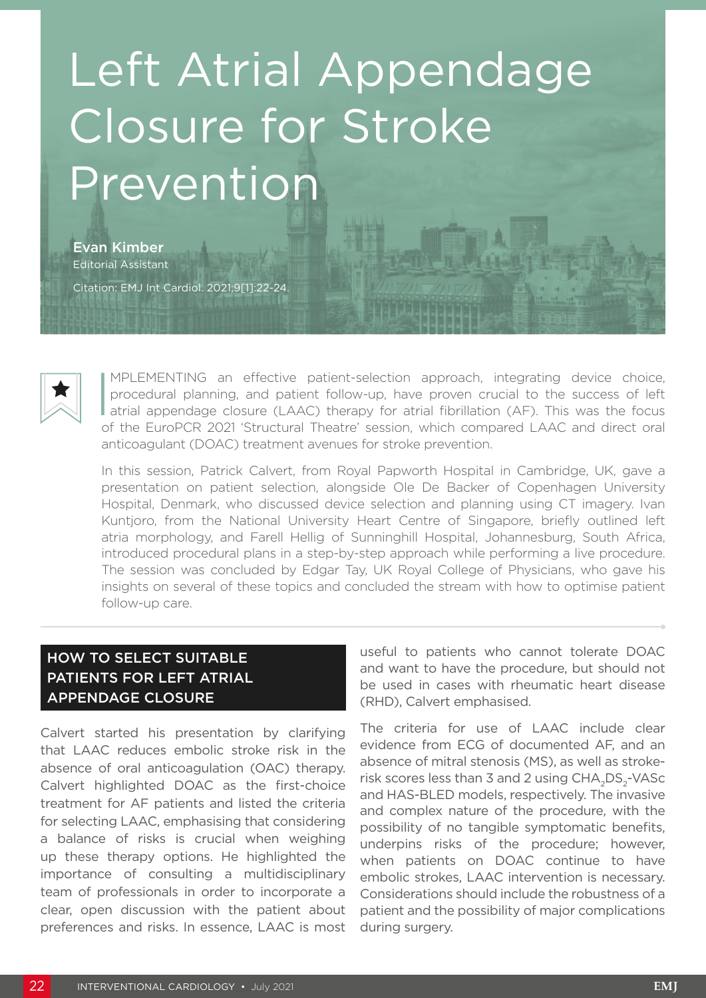# Left Atrial Appendage Closure for Stroke Prevention

Evan Kimber Editorial Assistant Citation: EMJ Int Cardiol. 2021;9[1]:22-24.



IMPLEMENTING an effective patient-selection approach, integrating device choice, procedural planning, and patient follow-up, have proven crucial to the success of left atrial appendage closure (LAAC) therapy for atrial fib MPLEMENTING an effective patient-selection approach, integrating device choice, procedural planning, and patient follow-up, have proven crucial to the success of left of the EuroPCR 2021 'Structural Theatre' session, which compared LAAC and direct oral anticoagulant (DOAC) treatment avenues for stroke prevention.

In this session, Patrick Calvert, from Royal Papworth Hospital in Cambridge, UK, gave a presentation on patient selection, alongside Ole De Backer of Copenhagen University Hospital, Denmark, who discussed device selection and planning using CT imagery. Ivan Kuntjoro, from the National University Heart Centre of Singapore, briefly outlined left atria morphology, and Farell Hellig of Sunninghill Hospital, Johannesburg, South Africa, introduced procedural plans in a step-by-step approach while performing a live procedure. The session was concluded by Edgar Tay, UK Royal College of Physicians, who gave his insights on several of these topics and concluded the stream with how to optimise patient follow-up care.

## HOW TO SELECT SUITABLE PATIENTS FOR LEFT ATRIAL APPENDAGE CLOSURE

Calvert started his presentation by clarifying that LAAC reduces embolic stroke risk in the absence of oral anticoagulation (OAC) therapy. Calvert highlighted DOAC as the first-choice treatment for AF patients and listed the criteria for selecting LAAC, emphasising that considering a balance of risks is crucial when weighing up these therapy options. He highlighted the importance of consulting a multidisciplinary team of professionals in order to incorporate a clear, open discussion with the patient about preferences and risks. In essence, LAAC is most useful to patients who cannot tolerate DOAC and want to have the procedure, but should not be used in cases with rheumatic heart disease (RHD), Calvert emphasised.

The criteria for use of LAAC include clear evidence from ECG of documented AF, and an absence of mitral stenosis (MS), as well as strokerisk scores less than 3 and 2 using CHA<sub>2</sub>DS<sub>2</sub>-VASc and HAS-BLED models, respectively. The invasive and complex nature of the procedure, with the possibility of no tangible symptomatic benefits, underpins risks of the procedure; however, when patients on DOAC continue to have embolic strokes, LAAC intervention is necessary. Considerations should include the robustness of a patient and the possibility of major complications during surgery.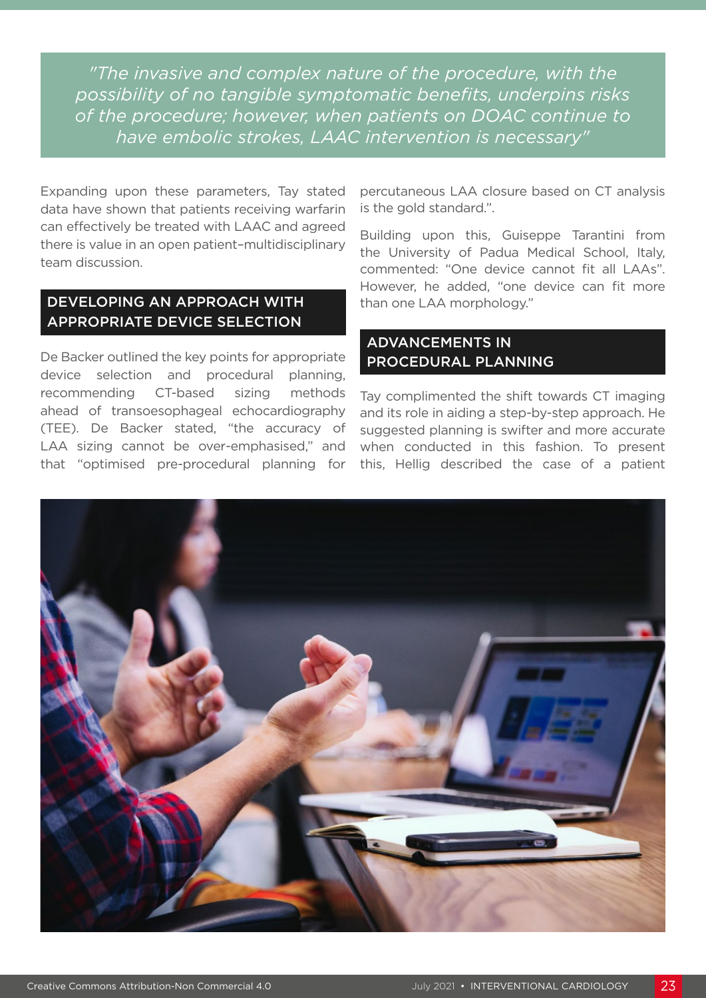*"The invasive and complex nature of the procedure, with the possibility of no tangible symptomatic benefits, underpins risks of the procedure; however, when patients on DOAC continue to have embolic strokes, LAAC intervention is necessary"*

Expanding upon these parameters, Tay stated data have shown that patients receiving warfarin can effectively be treated with LAAC and agreed there is value in an open patient–multidisciplinary team discussion.

### DEVELOPING AN APPROACH WITH APPROPRIATE DEVICE SELECTION

De Backer outlined the key points for appropriate device selection and procedural planning, recommending CT-based sizing methods ahead of transoesophageal echocardiography (TEE). De Backer stated, "the accuracy of LAA sizing cannot be over-emphasised," and that "optimised pre-procedural planning for percutaneous LAA closure based on CT analysis is the gold standard.".

Building upon this, Guiseppe Tarantini from the University of Padua Medical School, Italy, commented: "One device cannot fit all LAAs". However, he added, "one device can fit more than one LAA morphology."

#### ADVANCEMENTS IN PROCEDURAL PLANNING

Tay complimented the shift towards CT imaging and its role in aiding a step-by-step approach. He suggested planning is swifter and more accurate when conducted in this fashion. To present this, Hellig described the case of a patient